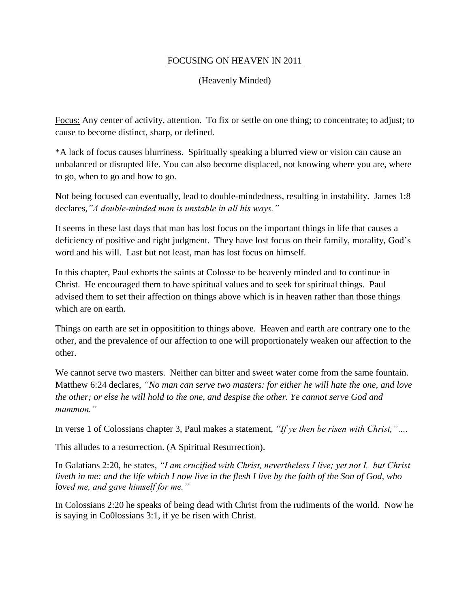## FOCUSING ON HEAVEN IN 2011

## (Heavenly Minded)

Focus: Any center of activity, attention. To fix or settle on one thing; to concentrate; to adjust; to cause to become distinct, sharp, or defined.

\*A lack of focus causes blurriness. Spiritually speaking a blurred view or vision can cause an unbalanced or disrupted life. You can also become displaced, not knowing where you are, where to go, when to go and how to go.

Not being focused can eventually, lead to double-mindedness, resulting in instability. James 1:8 declares,*"A double-minded man is unstable in all his ways."*

It seems in these last days that man has lost focus on the important things in life that causes a deficiency of positive and right judgment. They have lost focus on their family, morality, God's word and his will. Last but not least, man has lost focus on himself.

In this chapter, Paul exhorts the saints at Colosse to be heavenly minded and to continue in Christ. He encouraged them to have spiritual values and to seek for spiritual things. Paul advised them to set their affection on things above which is in heaven rather than those things which are on earth.

Things on earth are set in oppositition to things above. Heaven and earth are contrary one to the other, and the prevalence of our affection to one will proportionately weaken our affection to the other.

We cannot serve two masters. Neither can bitter and sweet water come from the same fountain. Matthew 6:24 declares, *"No man can serve two masters: for either he will hate the one, and love the other; or else he will hold to the one, and despise the other. Ye cannot serve God and mammon."*

In verse 1 of Colossians chapter 3, Paul makes a statement, *"If ye then be risen with Christ,"….*

This alludes to a resurrection. (A Spiritual Resurrection).

In Galatians 2:20, he states, *"I am crucified with Christ, nevertheless I live; yet not I, but Christ liveth in me: and the life which I now live in the flesh I live by the faith of the Son of God, who loved me, and gave himself for me."*

In Colossians 2:20 he speaks of being dead with Christ from the rudiments of the world. Now he is saying in Co0lossians 3:1, if ye be risen with Christ.